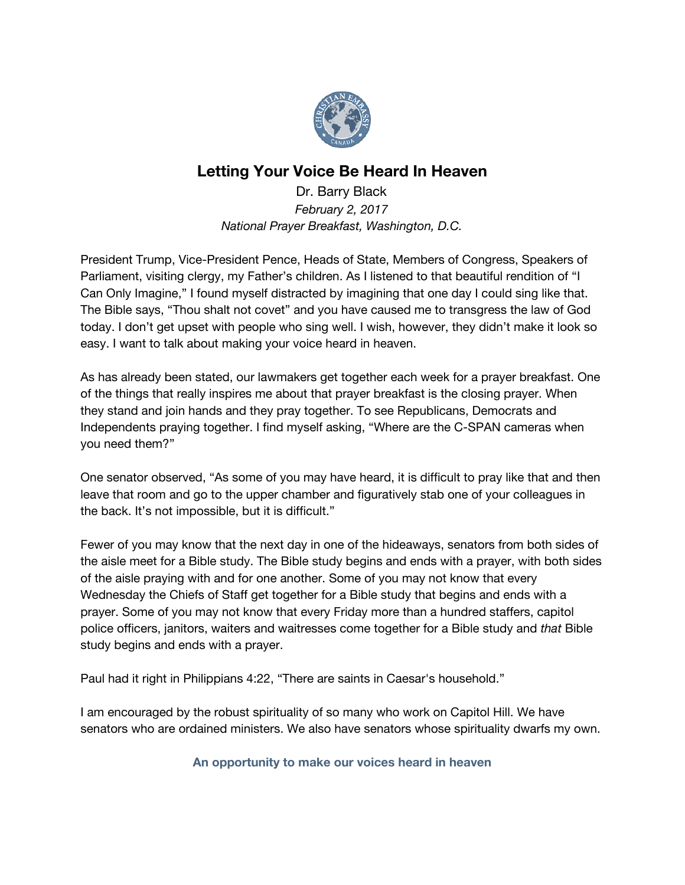

# **Letting Your Voice Be Heard In Heaven**

Dr. Barry Black *February 2, 2017 National Prayer Breakfast, Washington, D.C.*

President Trump, Vice-President Pence, Heads of State, Members of Congress, Speakers of Parliament, visiting clergy, my Father's children. As I listened to that beautiful rendition of "I Can Only Imagine," I found myself distracted by imagining that one day I could sing like that. The Bible says, "Thou shalt not covet" and you have caused me to transgress the law of God today. I don't get upset with people who sing well. I wish, however, they didn't make it look so easy. I want to talk about making your voice heard in heaven.

As has already been stated, our lawmakers get together each week for a prayer breakfast. One of the things that really inspires me about that prayer breakfast is the closing prayer. When they stand and join hands and they pray together. To see Republicans, Democrats and Independents praying together. I find myself asking, "Where are the C-SPAN cameras when you need them?"

One senator observed, "As some of you may have heard, it is difficult to pray like that and then leave that room and go to the upper chamber and figuratively stab one of your colleagues in the back. It's not impossible, but it is difficult."

Fewer of you may know that the next day in one of the hideaways, senators from both sides of the aisle meet for a Bible study. The Bible study begins and ends with a prayer, with both sides of the aisle praying with and for one another. Some of you may not know that every Wednesday the Chiefs of Staff get together for a Bible study that begins and ends with a prayer. Some of you may not know that every Friday more than a hundred staffers, capitol police officers, janitors, waiters and waitresses come together for a Bible study and *that* Bible study begins and ends with a prayer.

Paul had it right in Philippians 4:22, "There are saints in Caesar's household."

I am encouraged by the robust spirituality of so many who work on Capitol Hill. We have senators who are ordained ministers. We also have senators whose spirituality dwarfs my own.

**An opportunity to make our voices heard in heaven**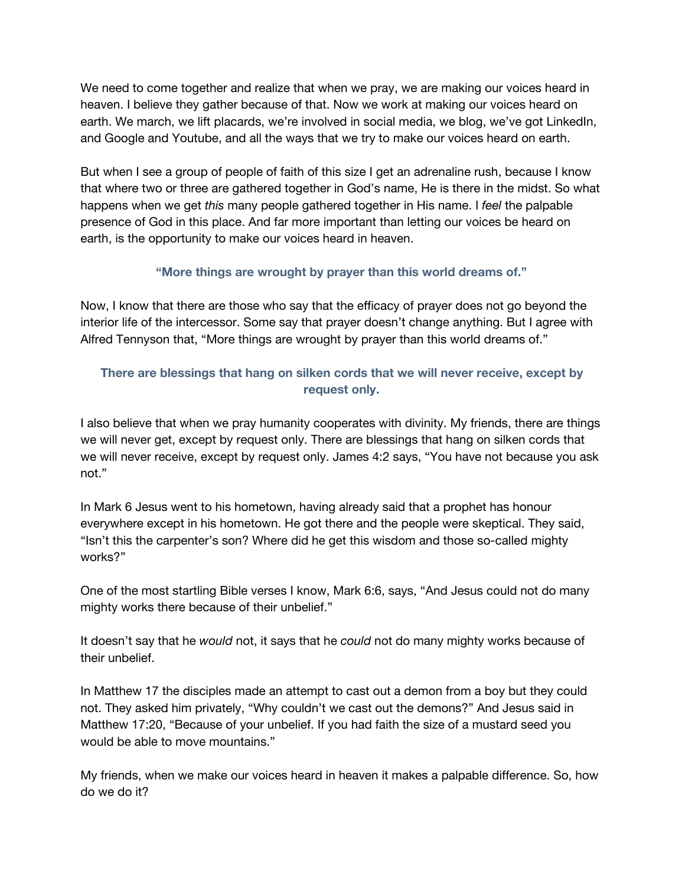We need to come together and realize that when we pray, we are making our voices heard in heaven. I believe they gather because of that. Now we work at making our voices heard on earth. We march, we lift placards, we're involved in social media, we blog, we've got LinkedIn, and Google and Youtube, and all the ways that we try to make our voices heard on earth.

But when I see a group of people of faith of this size I get an adrenaline rush, because I know that where two or three are gathered together in God's name, He is there in the midst. So what happens when we get *this* many people gathered together in His name. I *feel* the palpable presence of God in this place. And far more important than letting our voices be heard on earth, is the opportunity to make our voices heard in heaven.

## **"More things are wrought by prayer than this world dreams of."**

Now, I know that there are those who say that the efficacy of prayer does not go beyond the interior life of the intercessor. Some say that prayer doesn't change anything. But I agree with Alfred Tennyson that, "More things are wrought by prayer than this world dreams of."

# **There are blessings that hang on silken cords that we will never receive, except by request only.**

I also believe that when we pray humanity cooperates with divinity. My friends, there are things we will never get, except by request only. There are blessings that hang on silken cords that we will never receive, except by request only. James 4:2 says, "You have not because you ask not."

In Mark 6 Jesus went to his hometown, having already said that a prophet has honour everywhere except in his hometown. He got there and the people were skeptical. They said, "Isn't this the carpenter's son? Where did he get this wisdom and those so-called mighty works?"

One of the most startling Bible verses I know, Mark 6:6, says, "And Jesus could not do many mighty works there because of their unbelief."

It doesn't say that he *would* not, it says that he *could* not do many mighty works because of their unbelief.

In Matthew 17 the disciples made an attempt to cast out a demon from a boy but they could not. They asked him privately, "Why couldn't we cast out the demons?" And Jesus said in Matthew 17:20, "Because of your unbelief. If you had faith the size of a mustard seed you would be able to move mountains."

My friends, when we make our voices heard in heaven it makes a palpable difference. So, how do we do it?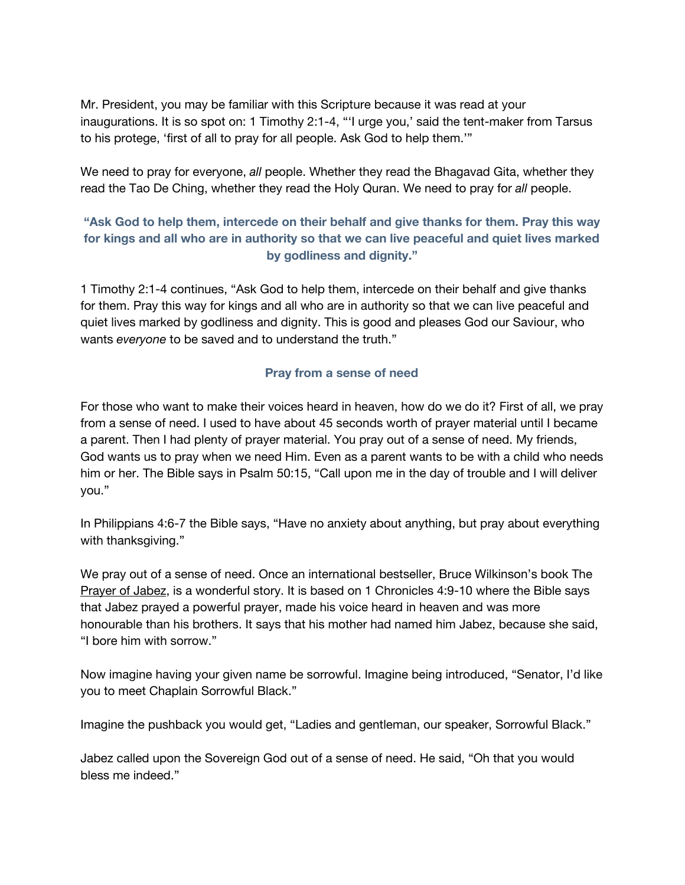Mr. President, you may be familiar with this Scripture because it was read at your inaugurations. It is so spot on: 1 Timothy 2:1-4, "'I urge you,' said the tent-maker from Tarsus to his protege, 'first of all to pray for all people. Ask God to help them.'"

We need to pray for everyone, *all* people. Whether they read the Bhagavad Gita, whether they read the Tao De Ching, whether they read the Holy Quran. We need to pray for *all* people.

## **"Ask God to help them, intercede on their behalf and give thanks for them. Pray this way for kings and all who are in authority so that we can live peaceful and quiet lives marked by godliness and dignity."**

1 Timothy 2:1-4 continues, "Ask God to help them, intercede on their behalf and give thanks for them. Pray this way for kings and all who are in authority so that we can live peaceful and quiet lives marked by godliness and dignity. This is good and pleases God our Saviour, who wants *everyone* to be saved and to understand the truth."

#### **Pray from a sense of need**

For those who want to make their voices heard in heaven, how do we do it? First of all, we pray from a sense of need. I used to have about 45 seconds worth of prayer material until I became a parent. Then I had plenty of prayer material. You pray out of a sense of need. My friends, God wants us to pray when we need Him. Even as a parent wants to be with a child who needs him or her. The Bible says in Psalm 50:15, "Call upon me in the day of trouble and I will deliver you."

In Philippians 4:6-7 the Bible says, "Have no anxiety about anything, but pray about everything with thanksgiving."

We pray out of a sense of need. Once an international bestseller, Bruce Wilkinson's book The Prayer of Jabez, is a wonderful story. It is based on 1 Chronicles 4:9-10 where the Bible says that Jabez prayed a powerful prayer, made his voice heard in heaven and was more honourable than his brothers. It says that his mother had named him Jabez, because she said, "I bore him with sorrow."

Now imagine having your given name be sorrowful. Imagine being introduced, "Senator, I'd like you to meet Chaplain Sorrowful Black."

Imagine the pushback you would get, "Ladies and gentleman, our speaker, Sorrowful Black."

Jabez called upon the Sovereign God out of a sense of need. He said, "Oh that you would bless me indeed."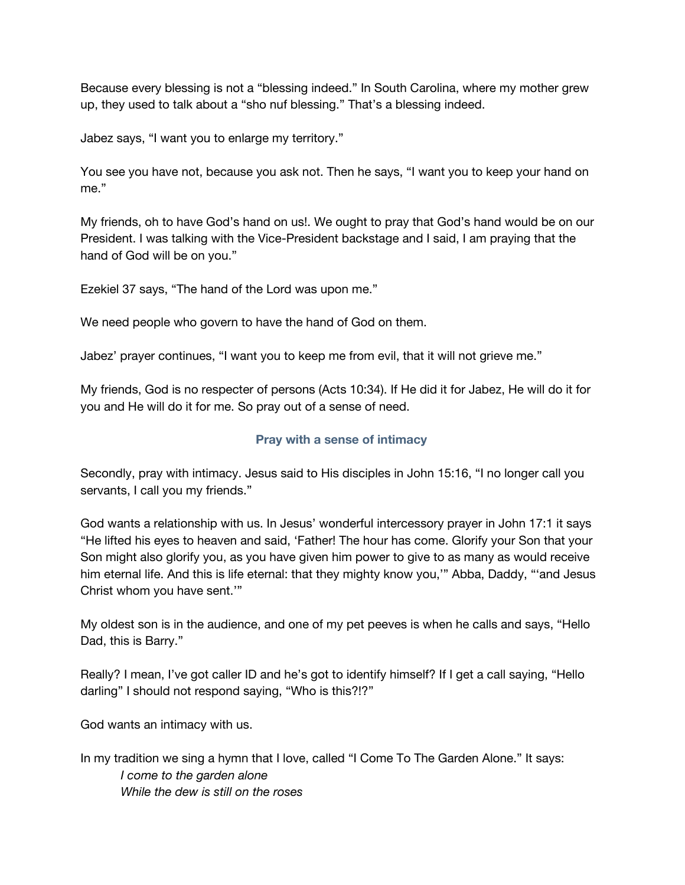Because every blessing is not a "blessing indeed." In South Carolina, where my mother grew up, they used to talk about a "sho nuf blessing." That's a blessing indeed.

Jabez says, "I want you to enlarge my territory."

You see you have not, because you ask not. Then he says, "I want you to keep your hand on me."

My friends, oh to have God's hand on us!. We ought to pray that God's hand would be on our President. I was talking with the Vice-President backstage and I said, I am praying that the hand of God will be on you."

Ezekiel 37 says, "The hand of the Lord was upon me."

We need people who govern to have the hand of God on them.

Jabez' prayer continues, "I want you to keep me from evil, that it will not grieve me."

My friends, God is no respecter of persons (Acts 10:34). If He did it for Jabez, He will do it for you and He will do it for me. So pray out of a sense of need.

#### **Pray with a sense of intimacy**

Secondly, pray with intimacy. Jesus said to His disciples in John 15:16, "I no longer call you servants, I call you my friends."

God wants a relationship with us. In Jesus' wonderful intercessory prayer in John 17:1 it says "He lifted his eyes to heaven and said, 'Father! The hour has come. Glorify your Son that your Son might also glorify you, as you have given him power to give to as many as would receive him eternal life. And this is life eternal: that they mighty know you,'" Abba, Daddy, "'and Jesus Christ whom you have sent.'"

My oldest son is in the audience, and one of my pet peeves is when he calls and says, "Hello Dad, this is Barry."

Really? I mean, I've got caller ID and he's got to identify himself? If I get a call saying, "Hello darling" I should not respond saying, "Who is this?!?"

God wants an intimacy with us.

In my tradition we sing a hymn that I love, called "I Come To The Garden Alone." It says: *I come to the garden alone While the dew is still on the roses*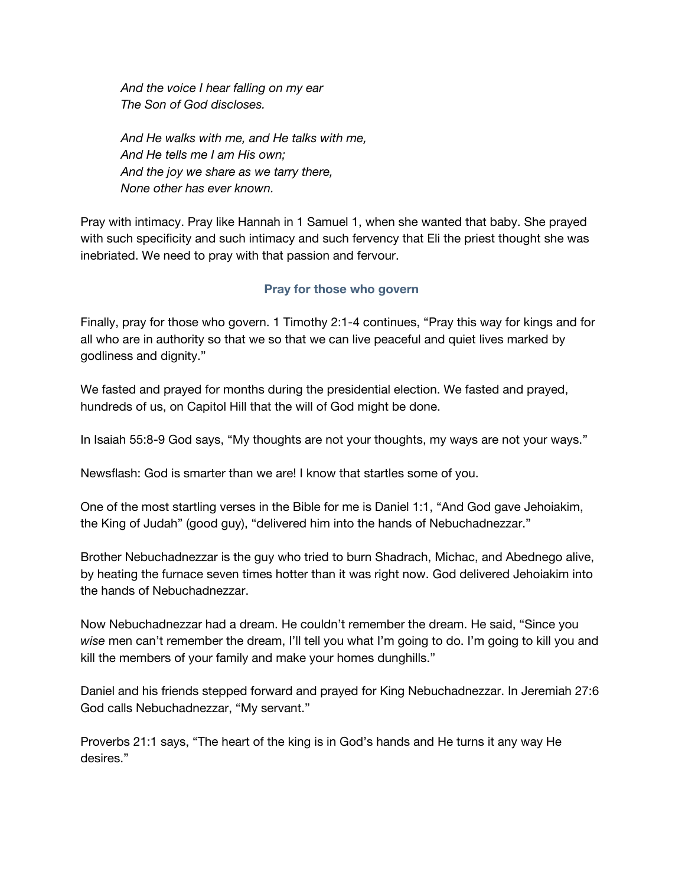*And the voice I hear falling on my ear The Son of God discloses.*

*And He walks with me, and He talks with me, And He tells me I am His own; And the joy we share as we tarry there, None other has ever known.*

Pray with intimacy. Pray like Hannah in 1 Samuel 1, when she wanted that baby. She prayed with such specificity and such intimacy and such fervency that Eli the priest thought she was inebriated. We need to pray with that passion and fervour.

## **Pray for those who govern**

Finally, pray for those who govern. 1 Timothy 2:1-4 continues, "Pray this way for kings and for all who are in authority so that we so that we can live peaceful and quiet lives marked by godliness and dignity."

We fasted and prayed for months during the presidential election. We fasted and prayed, hundreds of us, on Capitol Hill that the will of God might be done.

In Isaiah 55:8-9 God says, "My thoughts are not your thoughts, my ways are not your ways."

Newsflash: God is smarter than we are! I know that startles some of you.

One of the most startling verses in the Bible for me is Daniel 1:1, "And God gave Jehoiakim, the King of Judah" (good guy), "delivered him into the hands of Nebuchadnezzar."

Brother Nebuchadnezzar is the guy who tried to burn Shadrach, Michac, and Abednego alive, by heating the furnace seven times hotter than it was right now. God delivered Jehoiakim into the hands of Nebuchadnezzar.

Now Nebuchadnezzar had a dream. He couldn't remember the dream. He said, "Since you *wise* men can't remember the dream, I'll tell you what I'm going to do. I'm going to kill you and kill the members of your family and make your homes dunghills."

Daniel and his friends stepped forward and prayed for King Nebuchadnezzar. In Jeremiah 27:6 God calls Nebuchadnezzar, "My servant."

Proverbs 21:1 says, "The heart of the king is in God's hands and He turns it any way He desires."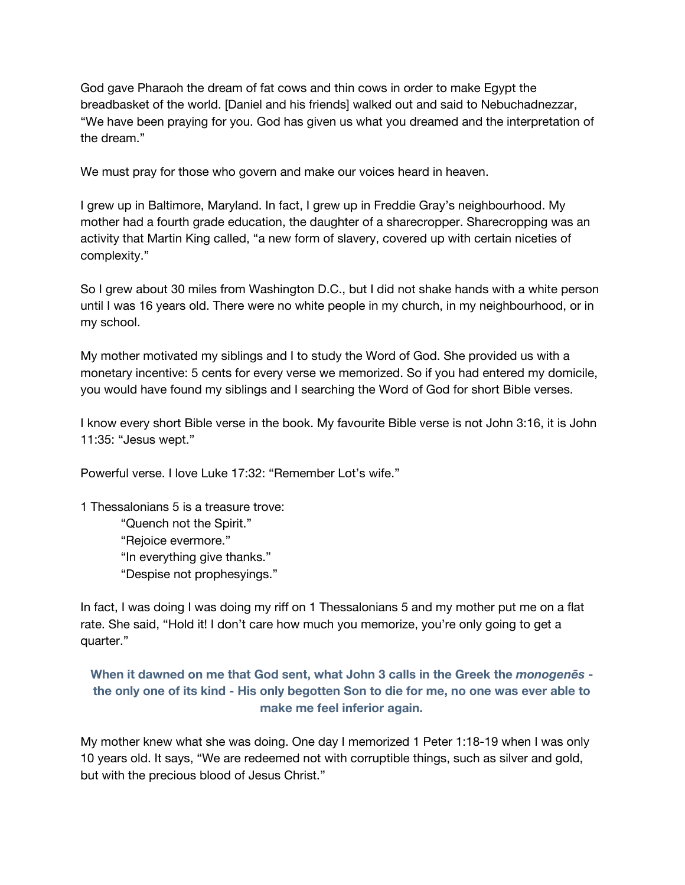God gave Pharaoh the dream of fat cows and thin cows in order to make Egypt the breadbasket of the world. [Daniel and his friends] walked out and said to Nebuchadnezzar, "We have been praying for you. God has given us what you dreamed and the interpretation of the dream."

We must pray for those who govern and make our voices heard in heaven.

I grew up in Baltimore, Maryland. In fact, I grew up in Freddie Gray's neighbourhood. My mother had a fourth grade education, the daughter of a sharecropper. Sharecropping was an activity that Martin King called, "a new form of slavery, covered up with certain niceties of complexity."

So I grew about 30 miles from Washington D.C., but I did not shake hands with a white person until I was 16 years old. There were no white people in my church, in my neighbourhood, or in my school.

My mother motivated my siblings and I to study the Word of God. She provided us with a monetary incentive: 5 cents for every verse we memorized. So if you had entered my domicile, you would have found my siblings and I searching the Word of God for short Bible verses.

I know every short Bible verse in the book. My favourite Bible verse is not John 3:16, it is John 11:35: "Jesus wept."

Powerful verse. I love Luke 17:32: "Remember Lot's wife."

1 Thessalonians 5 is a treasure trove: "Quench not the Spirit." "Rejoice evermore." "In everything give thanks." "Despise not prophesyings."

In fact, I was doing I was doing my riff on 1 Thessalonians 5 and my mother put me on a flat rate. She said, "Hold it! I don't care how much you memorize, you're only going to get a quarter."

## **When it dawned on me that God sent, what John 3 calls in the Greek the** *monogenēs*  the only one of its kind - His only begotten Son to die for me, no one was ever able to **make me feel inferior again.**

My mother knew what she was doing. One day I memorized 1 Peter 1:18-19 when I was only 10 years old. It says, "We are redeemed not with corruptible things, such as silver and gold, but with the precious blood of Jesus Christ."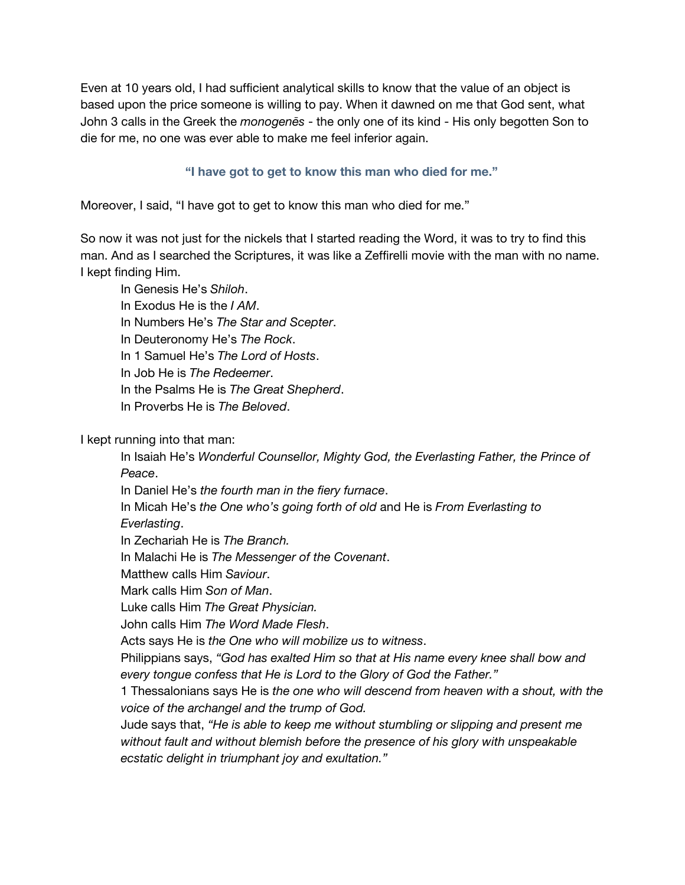Even at 10 years old, I had sufficient analytical skills to know that the value of an object is based upon the price someone is willing to pay. When it dawned on me that God sent, what John 3 calls in the Greek the *monogenēs* - the only one of its kind - His only begotten Son to die for me, no one was ever able to make me feel inferior again.

#### **"I have got to get to know this man who died for me."**

Moreover, I said, "I have got to get to know this man who died for me."

So now it was not just for the nickels that I started reading the Word, it was to try to find this man. And as I searched the Scriptures, it was like a Zeffirelli movie with the man with no name. I kept finding Him.

In Genesis He's *Shiloh*.

In Exodus He is the *I AM*.

In Numbers He's *The Star and Scepter*.

In Deuteronomy He's *The Rock*.

In 1 Samuel He's *The Lord of Hosts*.

In Job He is *The Redeemer*.

In the Psalms He is *The Great Shepherd*.

In Proverbs He is *The Beloved*.

I kept running into that man:

In Isaiah He's *Wonderful Counsellor, Mighty God, the Everlasting Father, the Prince of Peace*.

In Daniel He's *the fourth man in the fiery furnace*.

In Micah He's *the One who's going forth of old* and He is *From Everlasting to*

*Everlasting*.

In Zechariah He is *The Branch.*

In Malachi He is *The Messenger of the Covenant*.

Matthew calls Him *Saviour*.

Mark calls Him *Son of Man*.

Luke calls Him *The Great Physician.*

John calls Him *The Word Made Flesh*.

Acts says He is *the One who will mobilize us to witness*.

Philippians says, *"God has exalted Him so that at His name every knee shall bow and every tongue confess that He is Lord to the Glory of God the Father."*

1 Thessalonians says He is *the one who will descend from heaven with a shout, with the voice of the archangel and the trump of God.*

Jude says that, *"He is able to keep me without stumbling or slipping and present me without fault and without blemish before the presence of his glory with unspeakable ecstatic delight in triumphant joy and exultation."*